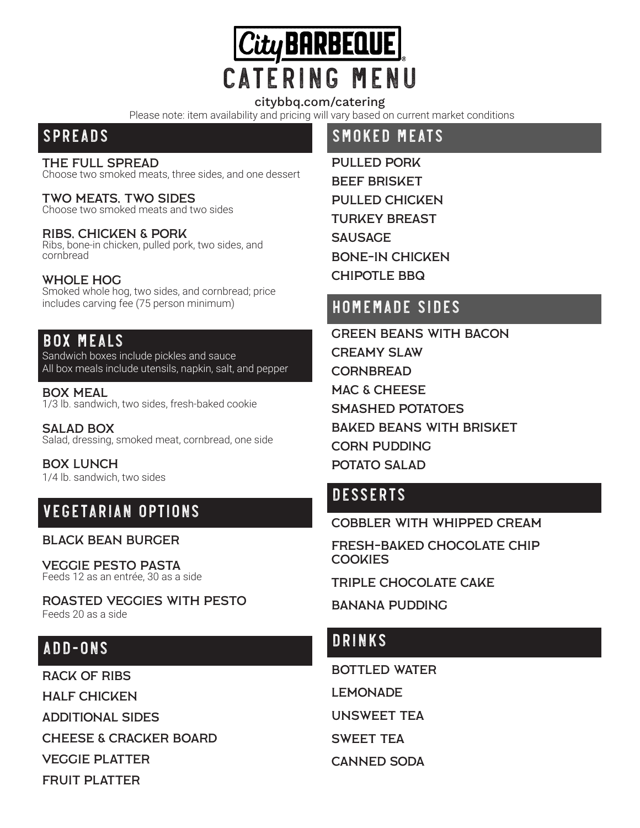

#### citybbq.com/catering

Please note: item availability and pricing will vary based on current market conditions

### **SPREADS**

#### THE FULL SPREAD

Choose two smoked meats, three sides, and one dessert

# **TWO MEATS, TWO SIDES**<br>Choose two smoked meats and two sides

RIBS, CHICKEN & PORK<br>Ribs, bone-in chicken, pulled pork, two sides, and cornbread

Whole Hog Smoked whole hog, two sides, and cornbread; price includes carving fee (75 person minimum)

### **BOX MEALS**

Sandwich boxes include pickles and sauce All box meals include utensils, napkin, salt, and pepper

Box Meal 1/3 lb. sandwich, two sides, fresh-baked cookie

Salad Box Salad, dressing, smoked meat, cornbread, one side

Box Lunch 1/4 lb. sandwich, two sides

# **Vegetarian Options**

#### Black Bean Burger

**VEGGIE PESTO PASTA**<br>Feeds 12 as an entrée, 30 as a side

Roasted Veggies with Pesto Feeds 20 as a side

## **Add-ons**

Rack oF Ribs Half Chicken Additional Sides ChEese & Cracker Board VEGGIE PLATTER FRUIT PLATTER

# **Smoked Meats**

Pulled Pork Beef Brisket Pulled Chicken Turkey Breast **SAUSAGE** Bone-In Chicken Chipotle BBQ

# **Homemade Sides**

Green Beans with Bacon Creamy Slaw **CORNBREAD** MAC & CHEESE Smashed Potatoes Baked Beans with Brisket Corn Pudding Potato SalaD

# **Desserts**

COBBLER With WHIPPED CREAM

Fresh-baked Chocolate Chip **COOKIES** 

TRIPLE CHOCOLATE CAKE

BANANA PUDDING

## **Drinks**

BOTTLED WATER LEMONADE

Unsweet Tea

SWEET TEa

Canned soda